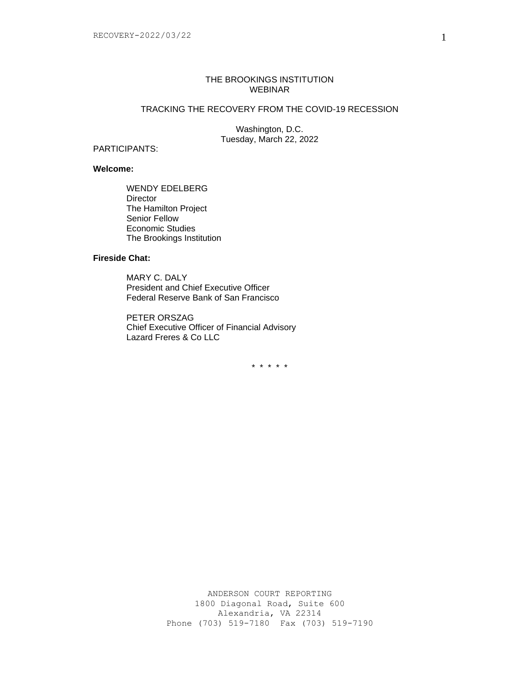### THE BROOKINGS INSTITUTION WEBINAR

# TRACKING THE RECOVERY FROM THE COVID-19 RECESSION

Washington, D.C. Tuesday, March 22, 2022

# PARTICIPANTS:

## **Welcome:**

WENDY EDELBERG **Director** The Hamilton Project Senior Fellow Economic Studies The Brookings Institution

## **Fireside Chat:**

MARY C. DALY President and Chief Executive Officer Federal Reserve Bank of San Francisco

PETER ORSZAG Chief Executive Officer of Financial Advisory Lazard Freres & Co LLC

\* \* \* \* \*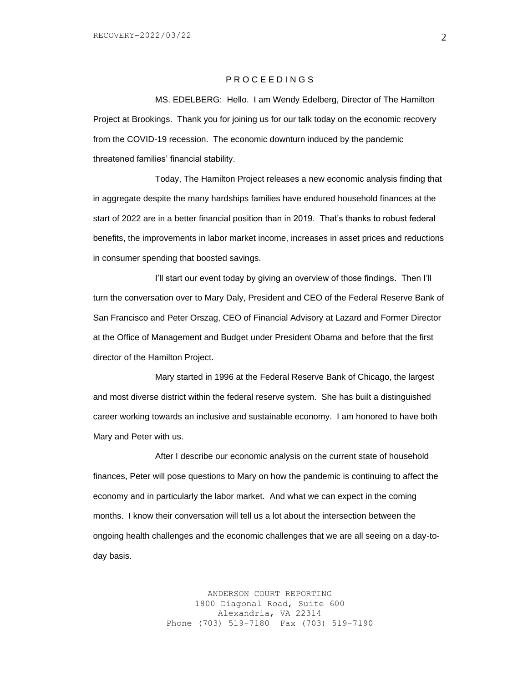#### P R O C E E D I N G S

MS. EDELBERG: Hello. I am Wendy Edelberg, Director of The Hamilton Project at Brookings. Thank you for joining us for our talk today on the economic recovery from the COVID-19 recession. The economic downturn induced by the pandemic threatened families' financial stability.

Today, The Hamilton Project releases a new economic analysis finding that in aggregate despite the many hardships families have endured household finances at the start of 2022 are in a better financial position than in 2019. That's thanks to robust federal benefits, the improvements in labor market income, increases in asset prices and reductions in consumer spending that boosted savings.

I'll start our event today by giving an overview of those findings. Then I'll turn the conversation over to Mary Daly, President and CEO of the Federal Reserve Bank of San Francisco and Peter Orszag, CEO of Financial Advisory at Lazard and Former Director at the Office of Management and Budget under President Obama and before that the first director of the Hamilton Project.

Mary started in 1996 at the Federal Reserve Bank of Chicago, the largest and most diverse district within the federal reserve system. She has built a distinguished career working towards an inclusive and sustainable economy. I am honored to have both Mary and Peter with us.

After I describe our economic analysis on the current state of household finances, Peter will pose questions to Mary on how the pandemic is continuing to affect the economy and in particularly the labor market. And what we can expect in the coming months. I know their conversation will tell us a lot about the intersection between the ongoing health challenges and the economic challenges that we are all seeing on a day-today basis.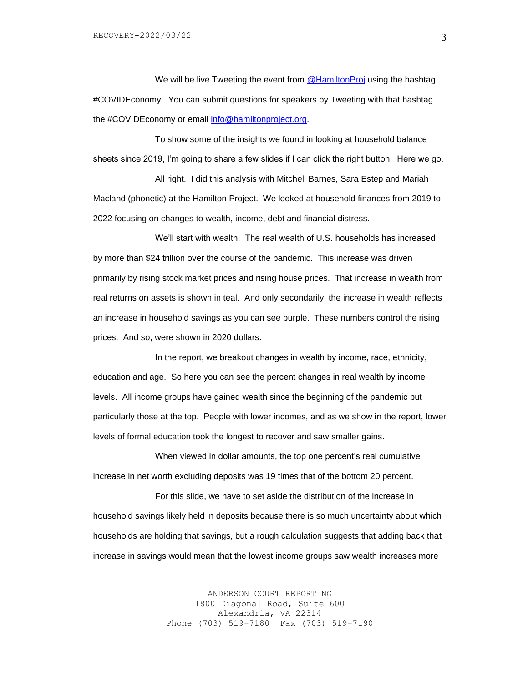We will be live Tweeting the event from [@HamiltonProj](https://twitter.com/hamiltonproj) using the hashtag #COVIDEconomy. You can submit questions for speakers by Tweeting with that hashtag the #COVIDEconomy or email [info@hamiltonproject.org.](mailto:info@hamiltonproject.org)

To show some of the insights we found in looking at household balance sheets since 2019, I'm going to share a few slides if I can click the right button. Here we go.

All right. I did this analysis with Mitchell Barnes, Sara Estep and Mariah Macland (phonetic) at the Hamilton Project. We looked at household finances from 2019 to 2022 focusing on changes to wealth, income, debt and financial distress.

We'll start with wealth. The real wealth of U.S. households has increased by more than \$24 trillion over the course of the pandemic. This increase was driven primarily by rising stock market prices and rising house prices. That increase in wealth from real returns on assets is shown in teal. And only secondarily, the increase in wealth reflects an increase in household savings as you can see purple. These numbers control the rising prices. And so, were shown in 2020 dollars.

In the report, we breakout changes in wealth by income, race, ethnicity, education and age. So here you can see the percent changes in real wealth by income levels. All income groups have gained wealth since the beginning of the pandemic but particularly those at the top. People with lower incomes, and as we show in the report, lower levels of formal education took the longest to recover and saw smaller gains.

When viewed in dollar amounts, the top one percent's real cumulative increase in net worth excluding deposits was 19 times that of the bottom 20 percent.

For this slide, we have to set aside the distribution of the increase in household savings likely held in deposits because there is so much uncertainty about which households are holding that savings, but a rough calculation suggests that adding back that increase in savings would mean that the lowest income groups saw wealth increases more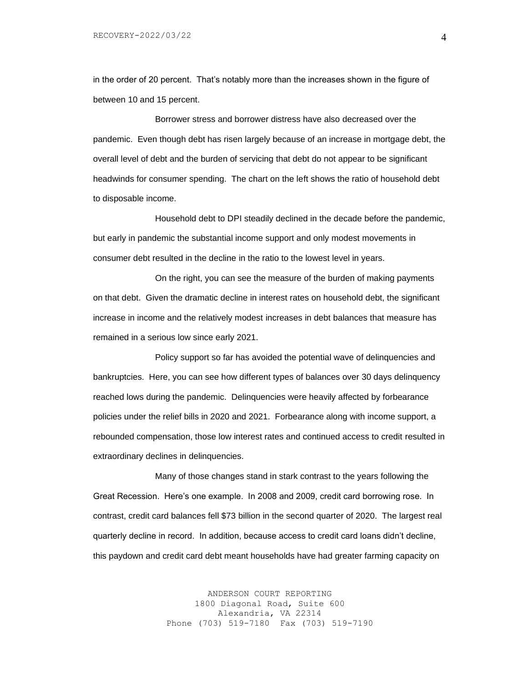in the order of 20 percent. That's notably more than the increases shown in the figure of between 10 and 15 percent.

Borrower stress and borrower distress have also decreased over the pandemic. Even though debt has risen largely because of an increase in mortgage debt, the overall level of debt and the burden of servicing that debt do not appear to be significant headwinds for consumer spending. The chart on the left shows the ratio of household debt to disposable income.

Household debt to DPI steadily declined in the decade before the pandemic, but early in pandemic the substantial income support and only modest movements in consumer debt resulted in the decline in the ratio to the lowest level in years.

On the right, you can see the measure of the burden of making payments on that debt. Given the dramatic decline in interest rates on household debt, the significant increase in income and the relatively modest increases in debt balances that measure has remained in a serious low since early 2021.

Policy support so far has avoided the potential wave of delinquencies and bankruptcies. Here, you can see how different types of balances over 30 days delinquency reached lows during the pandemic. Delinquencies were heavily affected by forbearance policies under the relief bills in 2020 and 2021. Forbearance along with income support, a rebounded compensation, those low interest rates and continued access to credit resulted in extraordinary declines in delinquencies.

Many of those changes stand in stark contrast to the years following the Great Recession. Here's one example. In 2008 and 2009, credit card borrowing rose. In contrast, credit card balances fell \$73 billion in the second quarter of 2020. The largest real quarterly decline in record. In addition, because access to credit card loans didn't decline, this paydown and credit card debt meant households have had greater farming capacity on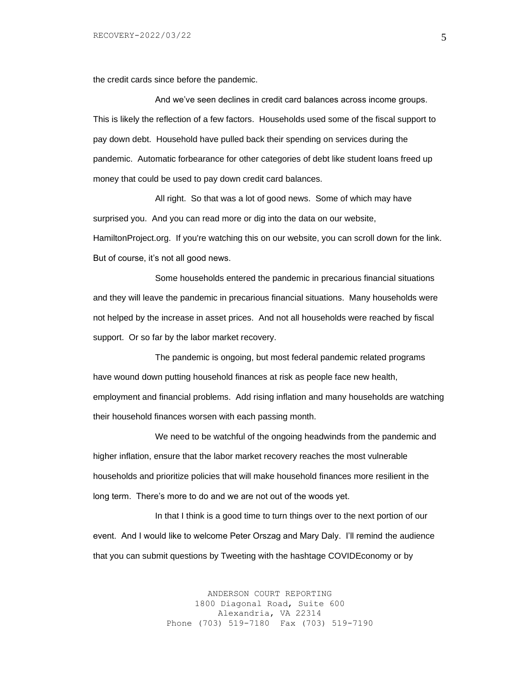the credit cards since before the pandemic.

And we've seen declines in credit card balances across income groups. This is likely the reflection of a few factors. Households used some of the fiscal support to pay down debt. Household have pulled back their spending on services during the pandemic. Automatic forbearance for other categories of debt like student loans freed up money that could be used to pay down credit card balances.

All right. So that was a lot of good news. Some of which may have surprised you. And you can read more or dig into the data on our website, HamiltonProject.org. If you're watching this on our website, you can scroll down for the link. But of course, it's not all good news.

Some households entered the pandemic in precarious financial situations and they will leave the pandemic in precarious financial situations. Many households were not helped by the increase in asset prices. And not all households were reached by fiscal support. Or so far by the labor market recovery.

The pandemic is ongoing, but most federal pandemic related programs have wound down putting household finances at risk as people face new health, employment and financial problems. Add rising inflation and many households are watching their household finances worsen with each passing month.

We need to be watchful of the ongoing headwinds from the pandemic and higher inflation, ensure that the labor market recovery reaches the most vulnerable households and prioritize policies that will make household finances more resilient in the long term. There's more to do and we are not out of the woods yet.

In that I think is a good time to turn things over to the next portion of our event. And I would like to welcome Peter Orszag and Mary Daly. I'll remind the audience that you can submit questions by Tweeting with the hashtage COVIDEconomy or by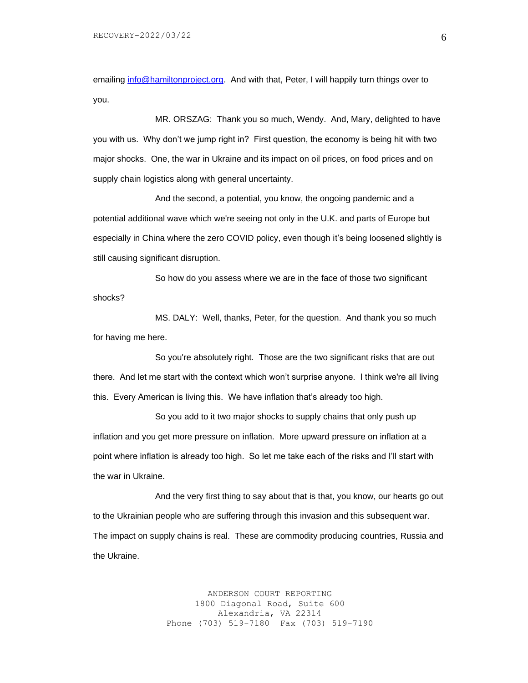emailing [info@hamiltonproject.org.](mailto:info@hamiltonproject.org) And with that, Peter, I will happily turn things over to you.

MR. ORSZAG: Thank you so much, Wendy. And, Mary, delighted to have you with us. Why don't we jump right in? First question, the economy is being hit with two major shocks. One, the war in Ukraine and its impact on oil prices, on food prices and on supply chain logistics along with general uncertainty.

And the second, a potential, you know, the ongoing pandemic and a potential additional wave which we're seeing not only in the U.K. and parts of Europe but especially in China where the zero COVID policy, even though it's being loosened slightly is still causing significant disruption.

So how do you assess where we are in the face of those two significant shocks?

MS. DALY: Well, thanks, Peter, for the question. And thank you so much for having me here.

So you're absolutely right. Those are the two significant risks that are out there. And let me start with the context which won't surprise anyone. I think we're all living this. Every American is living this. We have inflation that's already too high.

So you add to it two major shocks to supply chains that only push up inflation and you get more pressure on inflation. More upward pressure on inflation at a point where inflation is already too high. So let me take each of the risks and I'll start with the war in Ukraine.

And the very first thing to say about that is that, you know, our hearts go out to the Ukrainian people who are suffering through this invasion and this subsequent war. The impact on supply chains is real. These are commodity producing countries, Russia and the Ukraine.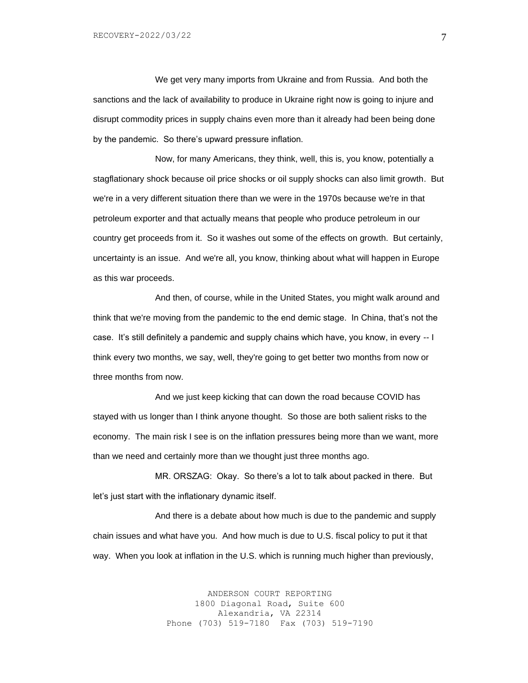We get very many imports from Ukraine and from Russia. And both the sanctions and the lack of availability to produce in Ukraine right now is going to injure and disrupt commodity prices in supply chains even more than it already had been being done by the pandemic. So there's upward pressure inflation.

Now, for many Americans, they think, well, this is, you know, potentially a stagflationary shock because oil price shocks or oil supply shocks can also limit growth. But we're in a very different situation there than we were in the 1970s because we're in that petroleum exporter and that actually means that people who produce petroleum in our country get proceeds from it. So it washes out some of the effects on growth. But certainly, uncertainty is an issue. And we're all, you know, thinking about what will happen in Europe as this war proceeds.

And then, of course, while in the United States, you might walk around and think that we're moving from the pandemic to the end demic stage. In China, that's not the case. It's still definitely a pandemic and supply chains which have, you know, in every -- I think every two months, we say, well, they're going to get better two months from now or three months from now.

And we just keep kicking that can down the road because COVID has stayed with us longer than I think anyone thought. So those are both salient risks to the economy. The main risk I see is on the inflation pressures being more than we want, more than we need and certainly more than we thought just three months ago.

MR. ORSZAG: Okay. So there's a lot to talk about packed in there. But let's just start with the inflationary dynamic itself.

And there is a debate about how much is due to the pandemic and supply chain issues and what have you. And how much is due to U.S. fiscal policy to put it that way. When you look at inflation in the U.S. which is running much higher than previously,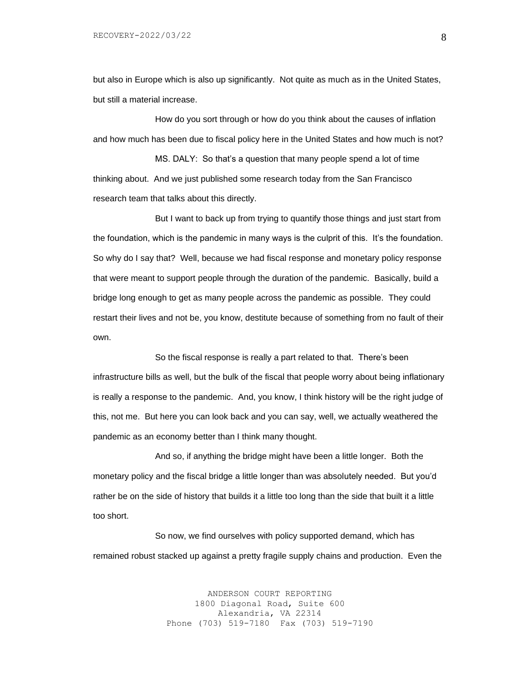but also in Europe which is also up significantly. Not quite as much as in the United States, but still a material increase.

How do you sort through or how do you think about the causes of inflation and how much has been due to fiscal policy here in the United States and how much is not?

MS. DALY: So that's a question that many people spend a lot of time thinking about. And we just published some research today from the San Francisco research team that talks about this directly.

But I want to back up from trying to quantify those things and just start from the foundation, which is the pandemic in many ways is the culprit of this. It's the foundation. So why do I say that? Well, because we had fiscal response and monetary policy response that were meant to support people through the duration of the pandemic. Basically, build a bridge long enough to get as many people across the pandemic as possible. They could restart their lives and not be, you know, destitute because of something from no fault of their own.

So the fiscal response is really a part related to that. There's been infrastructure bills as well, but the bulk of the fiscal that people worry about being inflationary is really a response to the pandemic. And, you know, I think history will be the right judge of this, not me. But here you can look back and you can say, well, we actually weathered the pandemic as an economy better than I think many thought.

And so, if anything the bridge might have been a little longer. Both the monetary policy and the fiscal bridge a little longer than was absolutely needed. But you'd rather be on the side of history that builds it a little too long than the side that built it a little too short.

So now, we find ourselves with policy supported demand, which has remained robust stacked up against a pretty fragile supply chains and production. Even the

> ANDERSON COURT REPORTING 1800 Diagonal Road, Suite 600 Alexandria, VA 22314 Phone (703) 519-7180 Fax (703) 519-7190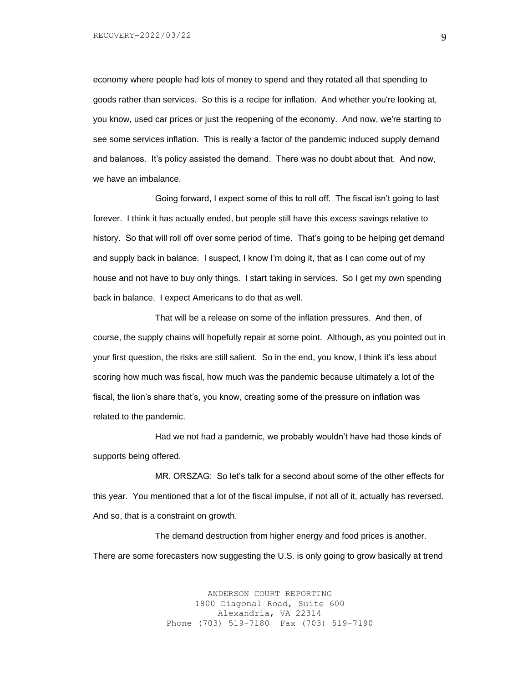economy where people had lots of money to spend and they rotated all that spending to goods rather than services. So this is a recipe for inflation. And whether you're looking at, you know, used car prices or just the reopening of the economy. And now, we're starting to see some services inflation. This is really a factor of the pandemic induced supply demand and balances. It's policy assisted the demand. There was no doubt about that. And now, we have an imbalance.

Going forward, I expect some of this to roll off. The fiscal isn't going to last forever. I think it has actually ended, but people still have this excess savings relative to history. So that will roll off over some period of time. That's going to be helping get demand and supply back in balance. I suspect, I know I'm doing it, that as I can come out of my house and not have to buy only things. I start taking in services. So I get my own spending back in balance. I expect Americans to do that as well.

That will be a release on some of the inflation pressures. And then, of course, the supply chains will hopefully repair at some point. Although, as you pointed out in your first question, the risks are still salient. So in the end, you know, I think it's less about scoring how much was fiscal, how much was the pandemic because ultimately a lot of the fiscal, the lion's share that's, you know, creating some of the pressure on inflation was related to the pandemic.

Had we not had a pandemic, we probably wouldn't have had those kinds of supports being offered.

MR. ORSZAG: So let's talk for a second about some of the other effects for this year. You mentioned that a lot of the fiscal impulse, if not all of it, actually has reversed. And so, that is a constraint on growth.

The demand destruction from higher energy and food prices is another. There are some forecasters now suggesting the U.S. is only going to grow basically at trend

> ANDERSON COURT REPORTING 1800 Diagonal Road, Suite 600 Alexandria, VA 22314 Phone (703) 519-7180 Fax (703) 519-7190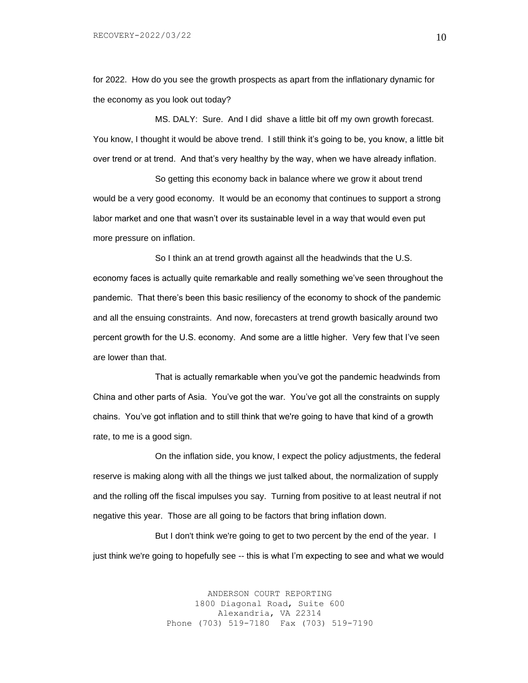for 2022. How do you see the growth prospects as apart from the inflationary dynamic for the economy as you look out today?

MS. DALY: Sure. And I did shave a little bit off my own growth forecast. You know, I thought it would be above trend. I still think it's going to be, you know, a little bit over trend or at trend. And that's very healthy by the way, when we have already inflation.

So getting this economy back in balance where we grow it about trend would be a very good economy. It would be an economy that continues to support a strong labor market and one that wasn't over its sustainable level in a way that would even put more pressure on inflation.

So I think an at trend growth against all the headwinds that the U.S. economy faces is actually quite remarkable and really something we've seen throughout the pandemic. That there's been this basic resiliency of the economy to shock of the pandemic and all the ensuing constraints. And now, forecasters at trend growth basically around two percent growth for the U.S. economy. And some are a little higher. Very few that I've seen are lower than that.

That is actually remarkable when you've got the pandemic headwinds from China and other parts of Asia. You've got the war. You've got all the constraints on supply chains. You've got inflation and to still think that we're going to have that kind of a growth rate, to me is a good sign.

On the inflation side, you know, I expect the policy adjustments, the federal reserve is making along with all the things we just talked about, the normalization of supply and the rolling off the fiscal impulses you say. Turning from positive to at least neutral if not negative this year. Those are all going to be factors that bring inflation down.

But I don't think we're going to get to two percent by the end of the year. I just think we're going to hopefully see -- this is what I'm expecting to see and what we would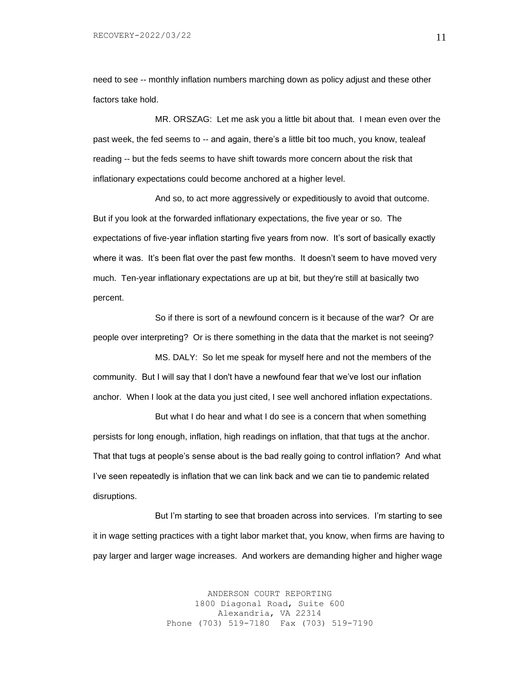need to see -- monthly inflation numbers marching down as policy adjust and these other factors take hold.

MR. ORSZAG: Let me ask you a little bit about that. I mean even over the past week, the fed seems to -- and again, there's a little bit too much, you know, tealeaf reading -- but the feds seems to have shift towards more concern about the risk that inflationary expectations could become anchored at a higher level.

And so, to act more aggressively or expeditiously to avoid that outcome. But if you look at the forwarded inflationary expectations, the five year or so. The expectations of five-year inflation starting five years from now. It's sort of basically exactly where it was. It's been flat over the past few months. It doesn't seem to have moved very much. Ten-year inflationary expectations are up at bit, but they're still at basically two percent.

So if there is sort of a newfound concern is it because of the war? Or are people over interpreting? Or is there something in the data that the market is not seeing?

MS. DALY: So let me speak for myself here and not the members of the community. But I will say that I don't have a newfound fear that we've lost our inflation anchor. When I look at the data you just cited, I see well anchored inflation expectations.

But what I do hear and what I do see is a concern that when something persists for long enough, inflation, high readings on inflation, that that tugs at the anchor. That that tugs at people's sense about is the bad really going to control inflation? And what I've seen repeatedly is inflation that we can link back and we can tie to pandemic related disruptions.

But I'm starting to see that broaden across into services. I'm starting to see it in wage setting practices with a tight labor market that, you know, when firms are having to pay larger and larger wage increases. And workers are demanding higher and higher wage

> ANDERSON COURT REPORTING 1800 Diagonal Road, Suite 600 Alexandria, VA 22314 Phone (703) 519-7180 Fax (703) 519-7190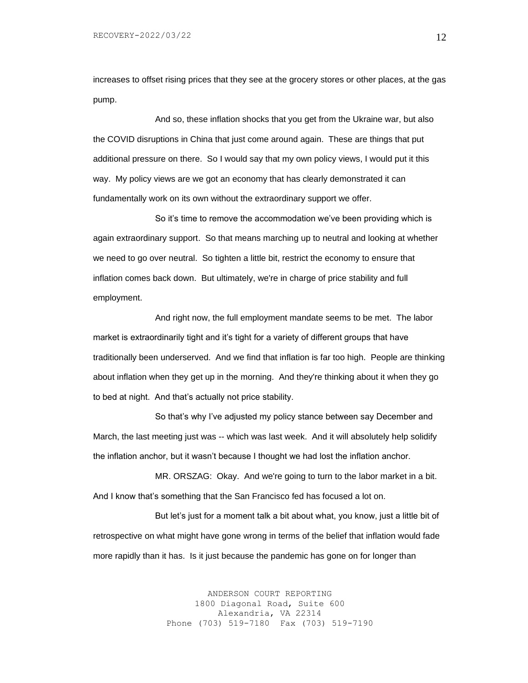increases to offset rising prices that they see at the grocery stores or other places, at the gas pump.

And so, these inflation shocks that you get from the Ukraine war, but also the COVID disruptions in China that just come around again. These are things that put additional pressure on there. So I would say that my own policy views, I would put it this way. My policy views are we got an economy that has clearly demonstrated it can fundamentally work on its own without the extraordinary support we offer.

So it's time to remove the accommodation we've been providing which is again extraordinary support. So that means marching up to neutral and looking at whether we need to go over neutral. So tighten a little bit, restrict the economy to ensure that inflation comes back down. But ultimately, we're in charge of price stability and full employment.

And right now, the full employment mandate seems to be met. The labor market is extraordinarily tight and it's tight for a variety of different groups that have traditionally been underserved. And we find that inflation is far too high. People are thinking about inflation when they get up in the morning. And they're thinking about it when they go to bed at night. And that's actually not price stability.

So that's why I've adjusted my policy stance between say December and March, the last meeting just was -- which was last week. And it will absolutely help solidify the inflation anchor, but it wasn't because I thought we had lost the inflation anchor.

MR. ORSZAG: Okay. And we're going to turn to the labor market in a bit. And I know that's something that the San Francisco fed has focused a lot on.

But let's just for a moment talk a bit about what, you know, just a little bit of retrospective on what might have gone wrong in terms of the belief that inflation would fade more rapidly than it has. Is it just because the pandemic has gone on for longer than

> ANDERSON COURT REPORTING 1800 Diagonal Road, Suite 600 Alexandria, VA 22314 Phone (703) 519-7180 Fax (703) 519-7190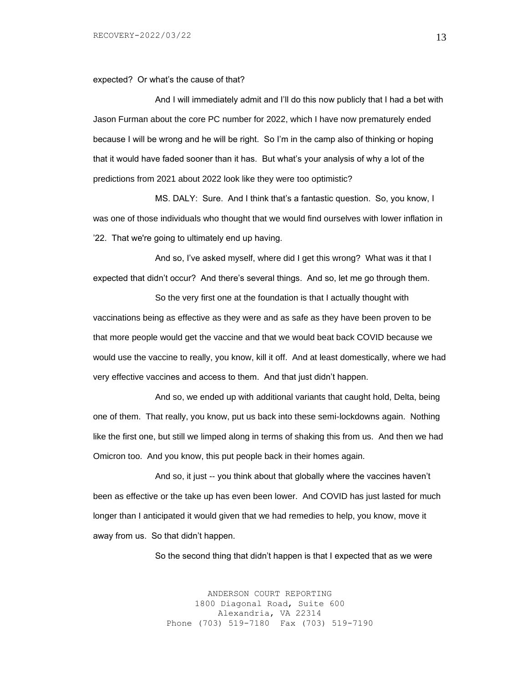expected? Or what's the cause of that?

And I will immediately admit and I'll do this now publicly that I had a bet with Jason Furman about the core PC number for 2022, which I have now prematurely ended because I will be wrong and he will be right. So I'm in the camp also of thinking or hoping that it would have faded sooner than it has. But what's your analysis of why a lot of the predictions from 2021 about 2022 look like they were too optimistic?

MS. DALY: Sure. And I think that's a fantastic question. So, you know, I was one of those individuals who thought that we would find ourselves with lower inflation in '22. That we're going to ultimately end up having.

And so, I've asked myself, where did I get this wrong? What was it that I expected that didn't occur? And there's several things. And so, let me go through them.

So the very first one at the foundation is that I actually thought with vaccinations being as effective as they were and as safe as they have been proven to be that more people would get the vaccine and that we would beat back COVID because we would use the vaccine to really, you know, kill it off. And at least domestically, where we had very effective vaccines and access to them. And that just didn't happen.

And so, we ended up with additional variants that caught hold, Delta, being one of them. That really, you know, put us back into these semi-lockdowns again. Nothing like the first one, but still we limped along in terms of shaking this from us. And then we had Omicron too. And you know, this put people back in their homes again.

And so, it just -- you think about that globally where the vaccines haven't been as effective or the take up has even been lower. And COVID has just lasted for much longer than I anticipated it would given that we had remedies to help, you know, move it away from us. So that didn't happen.

So the second thing that didn't happen is that I expected that as we were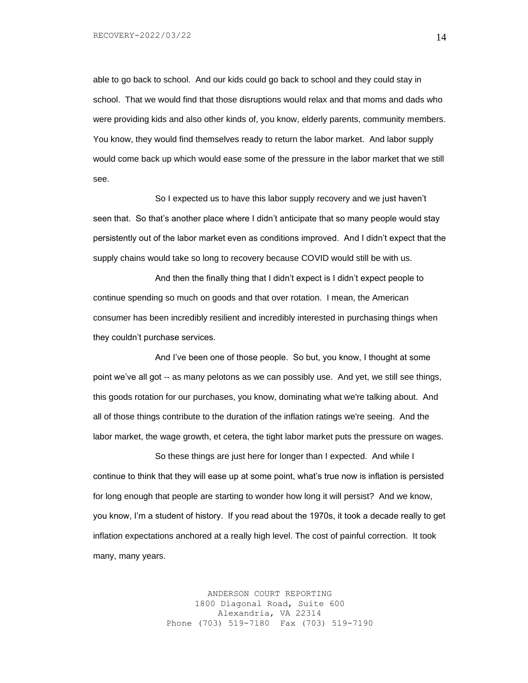able to go back to school. And our kids could go back to school and they could stay in school. That we would find that those disruptions would relax and that moms and dads who were providing kids and also other kinds of, you know, elderly parents, community members. You know, they would find themselves ready to return the labor market. And labor supply would come back up which would ease some of the pressure in the labor market that we still see.

So I expected us to have this labor supply recovery and we just haven't seen that. So that's another place where I didn't anticipate that so many people would stay persistently out of the labor market even as conditions improved. And I didn't expect that the supply chains would take so long to recovery because COVID would still be with us.

And then the finally thing that I didn't expect is I didn't expect people to continue spending so much on goods and that over rotation. I mean, the American consumer has been incredibly resilient and incredibly interested in purchasing things when they couldn't purchase services.

And I've been one of those people. So but, you know, I thought at some point we've all got -- as many pelotons as we can possibly use. And yet, we still see things, this goods rotation for our purchases, you know, dominating what we're talking about. And all of those things contribute to the duration of the inflation ratings we're seeing. And the labor market, the wage growth, et cetera, the tight labor market puts the pressure on wages.

So these things are just here for longer than I expected. And while I continue to think that they will ease up at some point, what's true now is inflation is persisted for long enough that people are starting to wonder how long it will persist? And we know, you know, I'm a student of history. If you read about the 1970s, it took a decade really to get inflation expectations anchored at a really high level. The cost of painful correction. It took many, many years.

> ANDERSON COURT REPORTING 1800 Diagonal Road, Suite 600 Alexandria, VA 22314 Phone (703) 519-7180 Fax (703) 519-7190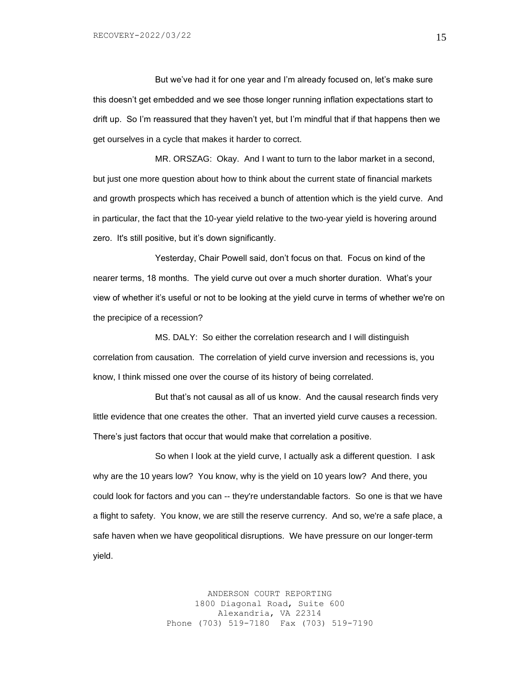But we've had it for one year and I'm already focused on, let's make sure this doesn't get embedded and we see those longer running inflation expectations start to drift up. So I'm reassured that they haven't yet, but I'm mindful that if that happens then we get ourselves in a cycle that makes it harder to correct.

MR. ORSZAG: Okay. And I want to turn to the labor market in a second, but just one more question about how to think about the current state of financial markets and growth prospects which has received a bunch of attention which is the yield curve. And in particular, the fact that the 10-year yield relative to the two-year yield is hovering around zero. It's still positive, but it's down significantly.

Yesterday, Chair Powell said, don't focus on that. Focus on kind of the nearer terms, 18 months. The yield curve out over a much shorter duration. What's your view of whether it's useful or not to be looking at the yield curve in terms of whether we're on the precipice of a recession?

MS. DALY: So either the correlation research and I will distinguish correlation from causation. The correlation of yield curve inversion and recessions is, you know, I think missed one over the course of its history of being correlated.

But that's not causal as all of us know. And the causal research finds very little evidence that one creates the other. That an inverted yield curve causes a recession. There's just factors that occur that would make that correlation a positive.

So when I look at the yield curve, I actually ask a different question. I ask why are the 10 years low? You know, why is the yield on 10 years low? And there, you could look for factors and you can -- they're understandable factors. So one is that we have a flight to safety. You know, we are still the reserve currency. And so, we're a safe place, a safe haven when we have geopolitical disruptions. We have pressure on our longer-term yield.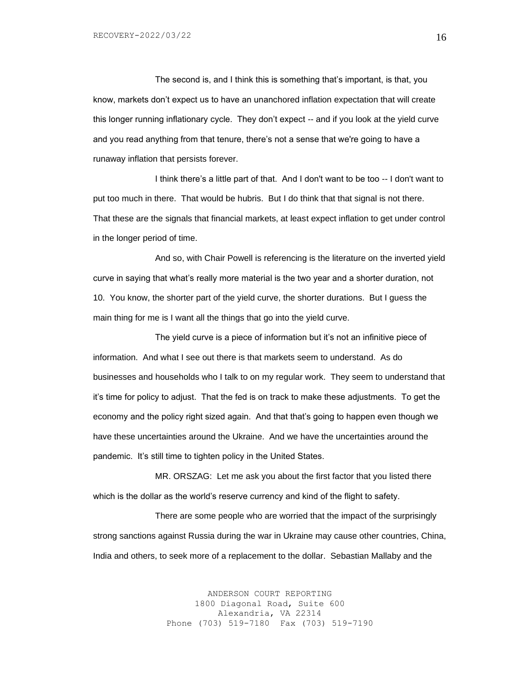The second is, and I think this is something that's important, is that, you know, markets don't expect us to have an unanchored inflation expectation that will create this longer running inflationary cycle. They don't expect -- and if you look at the yield curve and you read anything from that tenure, there's not a sense that we're going to have a runaway inflation that persists forever.

I think there's a little part of that. And I don't want to be too -- I don't want to put too much in there. That would be hubris. But I do think that that signal is not there. That these are the signals that financial markets, at least expect inflation to get under control in the longer period of time.

And so, with Chair Powell is referencing is the literature on the inverted yield curve in saying that what's really more material is the two year and a shorter duration, not 10. You know, the shorter part of the yield curve, the shorter durations. But I guess the main thing for me is I want all the things that go into the yield curve.

The yield curve is a piece of information but it's not an infinitive piece of information. And what I see out there is that markets seem to understand. As do businesses and households who I talk to on my regular work. They seem to understand that it's time for policy to adjust. That the fed is on track to make these adjustments. To get the economy and the policy right sized again. And that that's going to happen even though we have these uncertainties around the Ukraine. And we have the uncertainties around the pandemic. It's still time to tighten policy in the United States.

MR. ORSZAG: Let me ask you about the first factor that you listed there which is the dollar as the world's reserve currency and kind of the flight to safety.

There are some people who are worried that the impact of the surprisingly strong sanctions against Russia during the war in Ukraine may cause other countries, China, India and others, to seek more of a replacement to the dollar. Sebastian Mallaby and the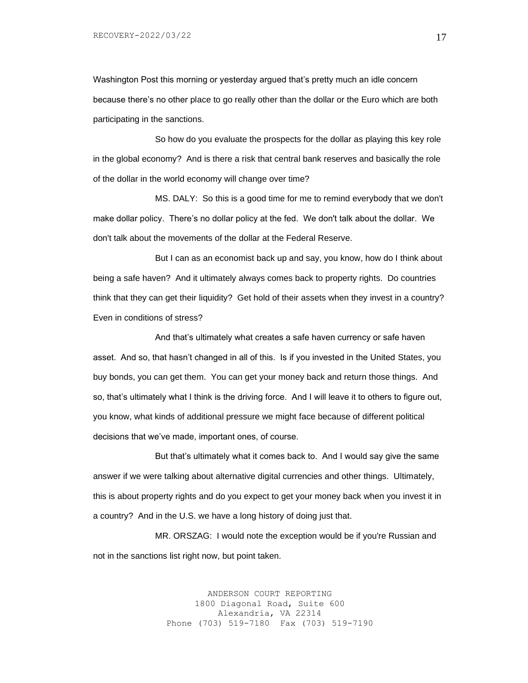Washington Post this morning or yesterday argued that's pretty much an idle concern because there's no other place to go really other than the dollar or the Euro which are both participating in the sanctions.

So how do you evaluate the prospects for the dollar as playing this key role in the global economy? And is there a risk that central bank reserves and basically the role of the dollar in the world economy will change over time?

MS. DALY: So this is a good time for me to remind everybody that we don't make dollar policy. There's no dollar policy at the fed. We don't talk about the dollar. We don't talk about the movements of the dollar at the Federal Reserve.

But I can as an economist back up and say, you know, how do I think about being a safe haven? And it ultimately always comes back to property rights. Do countries think that they can get their liquidity? Get hold of their assets when they invest in a country? Even in conditions of stress?

And that's ultimately what creates a safe haven currency or safe haven asset. And so, that hasn't changed in all of this. Is if you invested in the United States, you buy bonds, you can get them. You can get your money back and return those things. And so, that's ultimately what I think is the driving force. And I will leave it to others to figure out, you know, what kinds of additional pressure we might face because of different political decisions that we've made, important ones, of course.

But that's ultimately what it comes back to. And I would say give the same answer if we were talking about alternative digital currencies and other things. Ultimately, this is about property rights and do you expect to get your money back when you invest it in a country? And in the U.S. we have a long history of doing just that.

MR. ORSZAG: I would note the exception would be if you're Russian and not in the sanctions list right now, but point taken.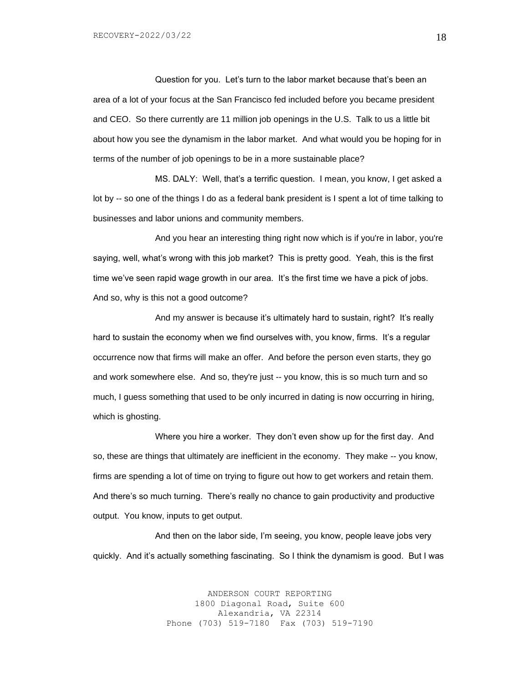Question for you. Let's turn to the labor market because that's been an area of a lot of your focus at the San Francisco fed included before you became president and CEO. So there currently are 11 million job openings in the U.S. Talk to us a little bit about how you see the dynamism in the labor market. And what would you be hoping for in terms of the number of job openings to be in a more sustainable place?

MS. DALY: Well, that's a terrific question. I mean, you know, I get asked a lot by -- so one of the things I do as a federal bank president is I spent a lot of time talking to businesses and labor unions and community members.

And you hear an interesting thing right now which is if you're in labor, you're saying, well, what's wrong with this job market? This is pretty good. Yeah, this is the first time we've seen rapid wage growth in our area. It's the first time we have a pick of jobs. And so, why is this not a good outcome?

And my answer is because it's ultimately hard to sustain, right? It's really hard to sustain the economy when we find ourselves with, you know, firms. It's a regular occurrence now that firms will make an offer. And before the person even starts, they go and work somewhere else. And so, they're just -- you know, this is so much turn and so much, I guess something that used to be only incurred in dating is now occurring in hiring, which is ghosting.

Where you hire a worker. They don't even show up for the first day. And so, these are things that ultimately are inefficient in the economy. They make -- you know, firms are spending a lot of time on trying to figure out how to get workers and retain them. And there's so much turning. There's really no chance to gain productivity and productive output. You know, inputs to get output.

And then on the labor side, I'm seeing, you know, people leave jobs very quickly. And it's actually something fascinating. So I think the dynamism is good. But I was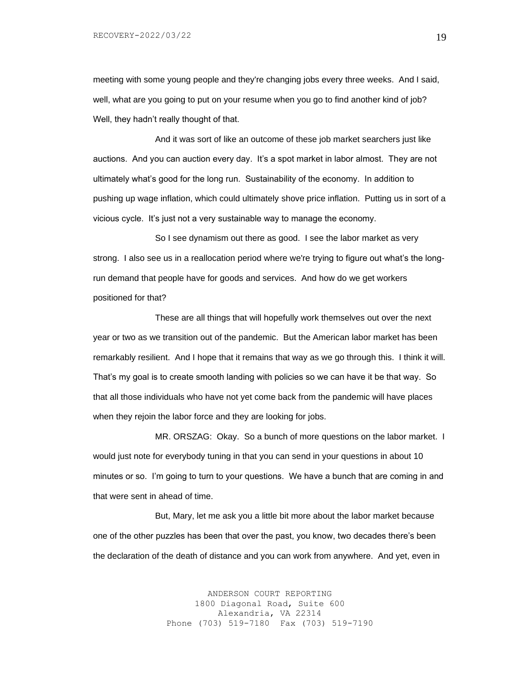meeting with some young people and they're changing jobs every three weeks. And I said, well, what are you going to put on your resume when you go to find another kind of job? Well, they hadn't really thought of that.

And it was sort of like an outcome of these job market searchers just like auctions. And you can auction every day. It's a spot market in labor almost. They are not ultimately what's good for the long run. Sustainability of the economy. In addition to pushing up wage inflation, which could ultimately shove price inflation. Putting us in sort of a vicious cycle. It's just not a very sustainable way to manage the economy.

So I see dynamism out there as good. I see the labor market as very strong. I also see us in a reallocation period where we're trying to figure out what's the longrun demand that people have for goods and services. And how do we get workers positioned for that?

These are all things that will hopefully work themselves out over the next year or two as we transition out of the pandemic. But the American labor market has been remarkably resilient. And I hope that it remains that way as we go through this. I think it will. That's my goal is to create smooth landing with policies so we can have it be that way. So that all those individuals who have not yet come back from the pandemic will have places when they rejoin the labor force and they are looking for jobs.

MR. ORSZAG: Okay. So a bunch of more questions on the labor market. I would just note for everybody tuning in that you can send in your questions in about 10 minutes or so. I'm going to turn to your questions. We have a bunch that are coming in and that were sent in ahead of time.

But, Mary, let me ask you a little bit more about the labor market because one of the other puzzles has been that over the past, you know, two decades there's been the declaration of the death of distance and you can work from anywhere. And yet, even in

> ANDERSON COURT REPORTING 1800 Diagonal Road, Suite 600 Alexandria, VA 22314 Phone (703) 519-7180 Fax (703) 519-7190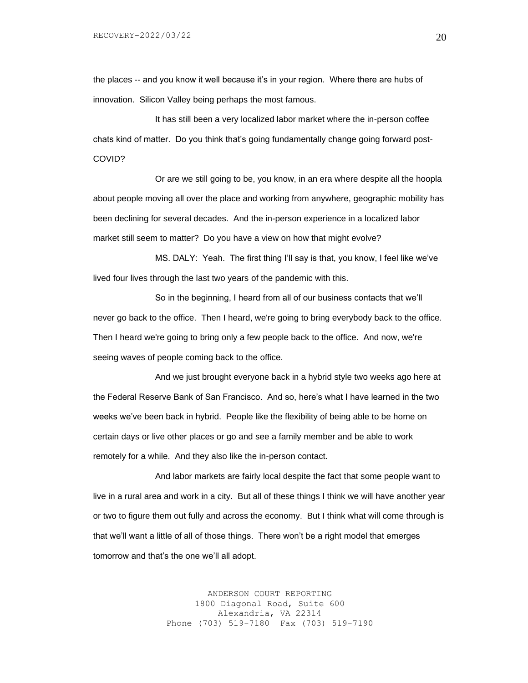the places -- and you know it well because it's in your region. Where there are hubs of innovation. Silicon Valley being perhaps the most famous.

It has still been a very localized labor market where the in-person coffee chats kind of matter. Do you think that's going fundamentally change going forward post-COVID?

Or are we still going to be, you know, in an era where despite all the hoopla about people moving all over the place and working from anywhere, geographic mobility has been declining for several decades. And the in-person experience in a localized labor market still seem to matter? Do you have a view on how that might evolve?

MS. DALY: Yeah. The first thing I'll say is that, you know, I feel like we've lived four lives through the last two years of the pandemic with this.

So in the beginning, I heard from all of our business contacts that we'll never go back to the office. Then I heard, we're going to bring everybody back to the office. Then I heard we're going to bring only a few people back to the office. And now, we're seeing waves of people coming back to the office.

And we just brought everyone back in a hybrid style two weeks ago here at the Federal Reserve Bank of San Francisco. And so, here's what I have learned in the two weeks we've been back in hybrid. People like the flexibility of being able to be home on certain days or live other places or go and see a family member and be able to work remotely for a while. And they also like the in-person contact.

And labor markets are fairly local despite the fact that some people want to live in a rural area and work in a city. But all of these things I think we will have another year or two to figure them out fully and across the economy. But I think what will come through is that we'll want a little of all of those things. There won't be a right model that emerges tomorrow and that's the one we'll all adopt.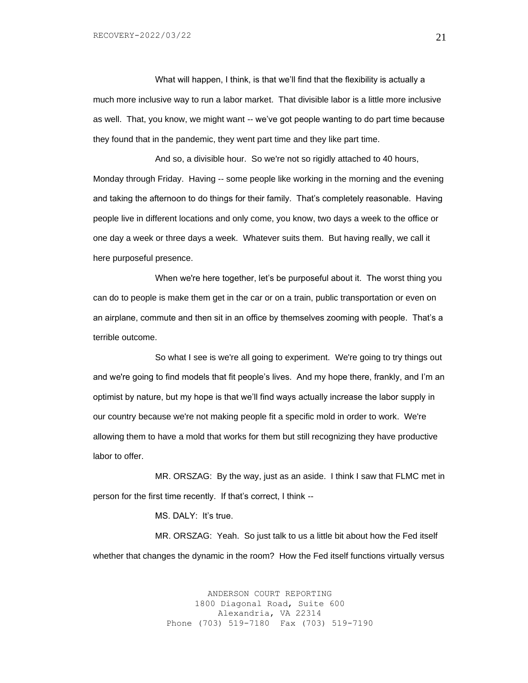What will happen, I think, is that we'll find that the flexibility is actually a much more inclusive way to run a labor market. That divisible labor is a little more inclusive as well. That, you know, we might want -- we've got people wanting to do part time because they found that in the pandemic, they went part time and they like part time.

And so, a divisible hour. So we're not so rigidly attached to 40 hours, Monday through Friday. Having -- some people like working in the morning and the evening and taking the afternoon to do things for their family. That's completely reasonable. Having people live in different locations and only come, you know, two days a week to the office or one day a week or three days a week. Whatever suits them. But having really, we call it here purposeful presence.

When we're here together, let's be purposeful about it. The worst thing you can do to people is make them get in the car or on a train, public transportation or even on an airplane, commute and then sit in an office by themselves zooming with people. That's a terrible outcome.

So what I see is we're all going to experiment. We're going to try things out and we're going to find models that fit people's lives. And my hope there, frankly, and I'm an optimist by nature, but my hope is that we'll find ways actually increase the labor supply in our country because we're not making people fit a specific mold in order to work. We're allowing them to have a mold that works for them but still recognizing they have productive labor to offer.

MR. ORSZAG: By the way, just as an aside. I think I saw that FLMC met in person for the first time recently. If that's correct, I think --

MS. DALY: It's true.

MR. ORSZAG: Yeah. So just talk to us a little bit about how the Fed itself whether that changes the dynamic in the room? How the Fed itself functions virtually versus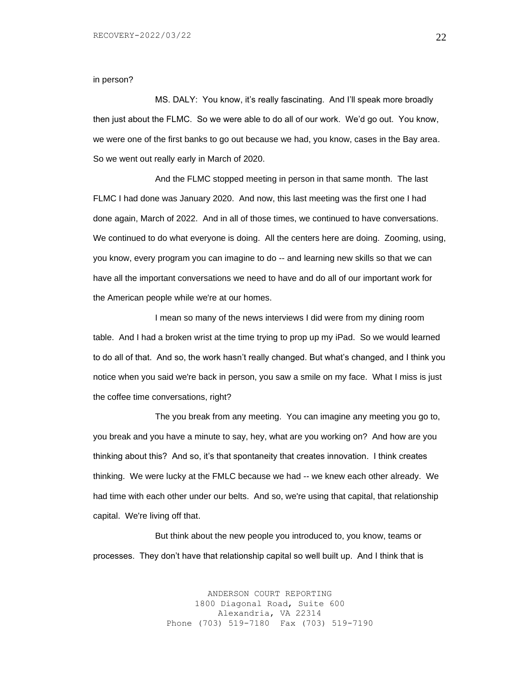in person?

MS. DALY: You know, it's really fascinating. And I'll speak more broadly then just about the FLMC. So we were able to do all of our work. We'd go out. You know, we were one of the first banks to go out because we had, you know, cases in the Bay area. So we went out really early in March of 2020.

And the FLMC stopped meeting in person in that same month. The last FLMC I had done was January 2020. And now, this last meeting was the first one I had done again, March of 2022. And in all of those times, we continued to have conversations. We continued to do what everyone is doing. All the centers here are doing. Zooming, using, you know, every program you can imagine to do -- and learning new skills so that we can have all the important conversations we need to have and do all of our important work for the American people while we're at our homes.

I mean so many of the news interviews I did were from my dining room table. And I had a broken wrist at the time trying to prop up my iPad. So we would learned to do all of that. And so, the work hasn't really changed. But what's changed, and I think you notice when you said we're back in person, you saw a smile on my face. What I miss is just the coffee time conversations, right?

The you break from any meeting. You can imagine any meeting you go to, you break and you have a minute to say, hey, what are you working on? And how are you thinking about this? And so, it's that spontaneity that creates innovation. I think creates thinking. We were lucky at the FMLC because we had -- we knew each other already. We had time with each other under our belts. And so, we're using that capital, that relationship capital. We're living off that.

But think about the new people you introduced to, you know, teams or processes. They don't have that relationship capital so well built up. And I think that is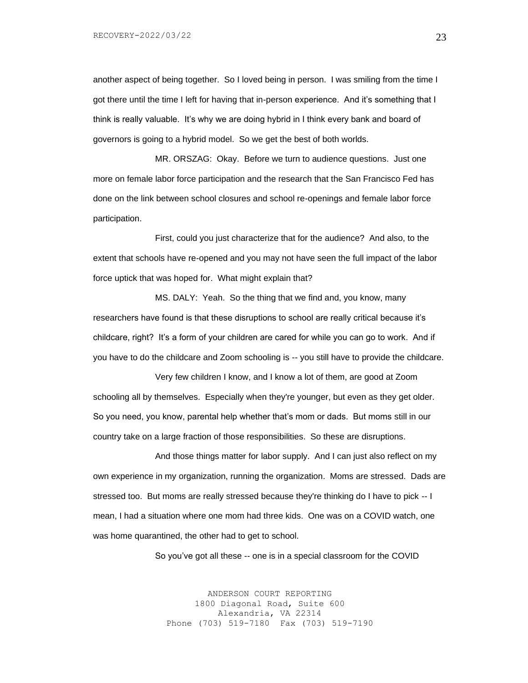another aspect of being together. So I loved being in person. I was smiling from the time I got there until the time I left for having that in-person experience. And it's something that I think is really valuable. It's why we are doing hybrid in I think every bank and board of governors is going to a hybrid model. So we get the best of both worlds.

MR. ORSZAG: Okay. Before we turn to audience questions. Just one more on female labor force participation and the research that the San Francisco Fed has done on the link between school closures and school re-openings and female labor force participation.

First, could you just characterize that for the audience? And also, to the extent that schools have re-opened and you may not have seen the full impact of the labor force uptick that was hoped for. What might explain that?

MS. DALY: Yeah. So the thing that we find and, you know, many researchers have found is that these disruptions to school are really critical because it's childcare, right? It's a form of your children are cared for while you can go to work. And if you have to do the childcare and Zoom schooling is -- you still have to provide the childcare.

Very few children I know, and I know a lot of them, are good at Zoom schooling all by themselves. Especially when they're younger, but even as they get older. So you need, you know, parental help whether that's mom or dads. But moms still in our country take on a large fraction of those responsibilities. So these are disruptions.

And those things matter for labor supply. And I can just also reflect on my own experience in my organization, running the organization. Moms are stressed. Dads are stressed too. But moms are really stressed because they're thinking do I have to pick -- I mean, I had a situation where one mom had three kids. One was on a COVID watch, one was home quarantined, the other had to get to school.

So you've got all these -- one is in a special classroom for the COVID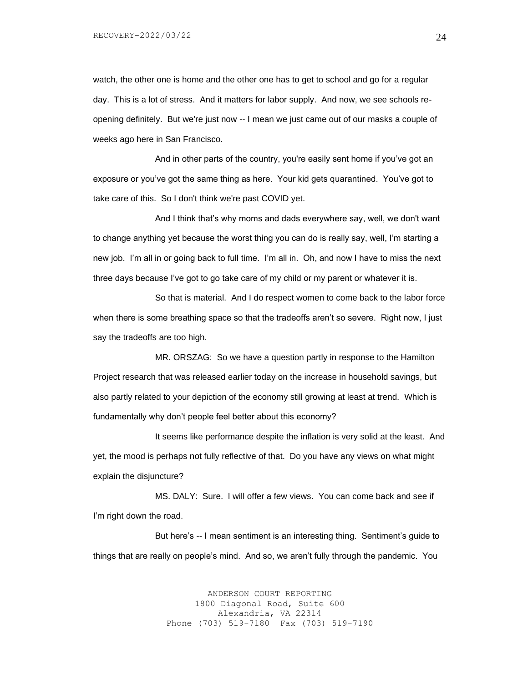watch, the other one is home and the other one has to get to school and go for a regular day. This is a lot of stress. And it matters for labor supply. And now, we see schools reopening definitely. But we're just now -- I mean we just came out of our masks a couple of weeks ago here in San Francisco.

And in other parts of the country, you're easily sent home if you've got an exposure or you've got the same thing as here. Your kid gets quarantined. You've got to take care of this. So I don't think we're past COVID yet.

And I think that's why moms and dads everywhere say, well, we don't want to change anything yet because the worst thing you can do is really say, well, I'm starting a new job. I'm all in or going back to full time. I'm all in. Oh, and now I have to miss the next three days because I've got to go take care of my child or my parent or whatever it is.

So that is material. And I do respect women to come back to the labor force when there is some breathing space so that the tradeoffs aren't so severe. Right now, I just say the tradeoffs are too high.

MR. ORSZAG: So we have a question partly in response to the Hamilton Project research that was released earlier today on the increase in household savings, but also partly related to your depiction of the economy still growing at least at trend. Which is fundamentally why don't people feel better about this economy?

It seems like performance despite the inflation is very solid at the least. And yet, the mood is perhaps not fully reflective of that. Do you have any views on what might explain the disjuncture?

MS. DALY: Sure. I will offer a few views. You can come back and see if I'm right down the road.

But here's -- I mean sentiment is an interesting thing. Sentiment's guide to things that are really on people's mind. And so, we aren't fully through the pandemic. You

> ANDERSON COURT REPORTING 1800 Diagonal Road, Suite 600 Alexandria, VA 22314 Phone (703) 519-7180 Fax (703) 519-7190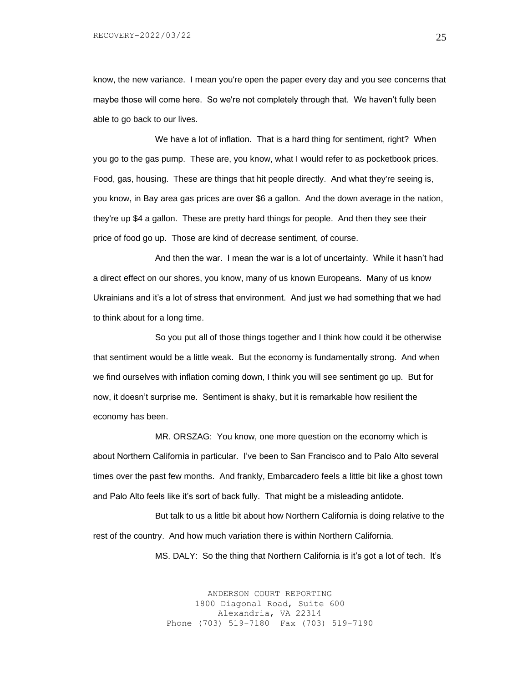know, the new variance. I mean you're open the paper every day and you see concerns that maybe those will come here. So we're not completely through that. We haven't fully been able to go back to our lives.

We have a lot of inflation. That is a hard thing for sentiment, right? When you go to the gas pump. These are, you know, what I would refer to as pocketbook prices. Food, gas, housing. These are things that hit people directly. And what they're seeing is, you know, in Bay area gas prices are over \$6 a gallon. And the down average in the nation, they're up \$4 a gallon. These are pretty hard things for people. And then they see their price of food go up. Those are kind of decrease sentiment, of course.

And then the war. I mean the war is a lot of uncertainty. While it hasn't had a direct effect on our shores, you know, many of us known Europeans. Many of us know Ukrainians and it's a lot of stress that environment. And just we had something that we had to think about for a long time.

So you put all of those things together and I think how could it be otherwise that sentiment would be a little weak. But the economy is fundamentally strong. And when we find ourselves with inflation coming down, I think you will see sentiment go up. But for now, it doesn't surprise me. Sentiment is shaky, but it is remarkable how resilient the economy has been.

MR. ORSZAG: You know, one more question on the economy which is about Northern California in particular. I've been to San Francisco and to Palo Alto several times over the past few months. And frankly, Embarcadero feels a little bit like a ghost town and Palo Alto feels like it's sort of back fully. That might be a misleading antidote.

But talk to us a little bit about how Northern California is doing relative to the rest of the country. And how much variation there is within Northern California.

MS. DALY: So the thing that Northern California is it's got a lot of tech. It's

ANDERSON COURT REPORTING 1800 Diagonal Road, Suite 600 Alexandria, VA 22314 Phone (703) 519-7180 Fax (703) 519-7190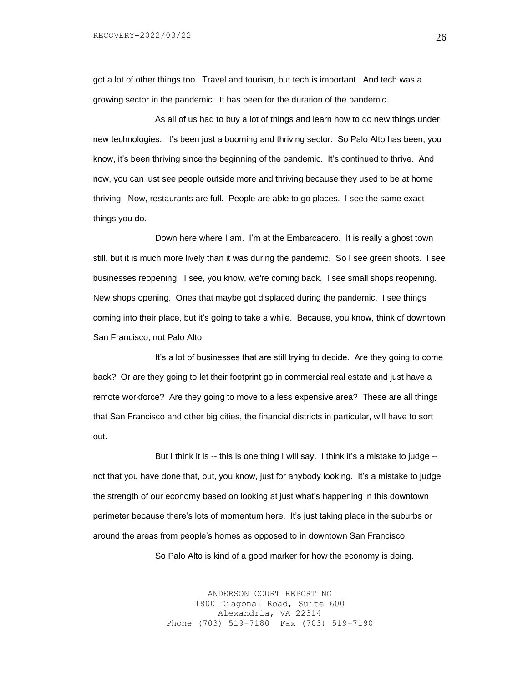got a lot of other things too. Travel and tourism, but tech is important. And tech was a growing sector in the pandemic. It has been for the duration of the pandemic.

As all of us had to buy a lot of things and learn how to do new things under new technologies. It's been just a booming and thriving sector. So Palo Alto has been, you know, it's been thriving since the beginning of the pandemic. It's continued to thrive. And now, you can just see people outside more and thriving because they used to be at home thriving. Now, restaurants are full. People are able to go places. I see the same exact things you do.

Down here where I am. I'm at the Embarcadero. It is really a ghost town still, but it is much more lively than it was during the pandemic. So I see green shoots. I see businesses reopening. I see, you know, we're coming back. I see small shops reopening. New shops opening. Ones that maybe got displaced during the pandemic. I see things coming into their place, but it's going to take a while. Because, you know, think of downtown San Francisco, not Palo Alto.

It's a lot of businesses that are still trying to decide. Are they going to come back? Or are they going to let their footprint go in commercial real estate and just have a remote workforce? Are they going to move to a less expensive area? These are all things that San Francisco and other big cities, the financial districts in particular, will have to sort out.

But I think it is -- this is one thing I will say. I think it's a mistake to judge - not that you have done that, but, you know, just for anybody looking. It's a mistake to judge the strength of our economy based on looking at just what's happening in this downtown perimeter because there's lots of momentum here. It's just taking place in the suburbs or around the areas from people's homes as opposed to in downtown San Francisco.

So Palo Alto is kind of a good marker for how the economy is doing.

ANDERSON COURT REPORTING 1800 Diagonal Road, Suite 600 Alexandria, VA 22314 Phone (703) 519-7180 Fax (703) 519-7190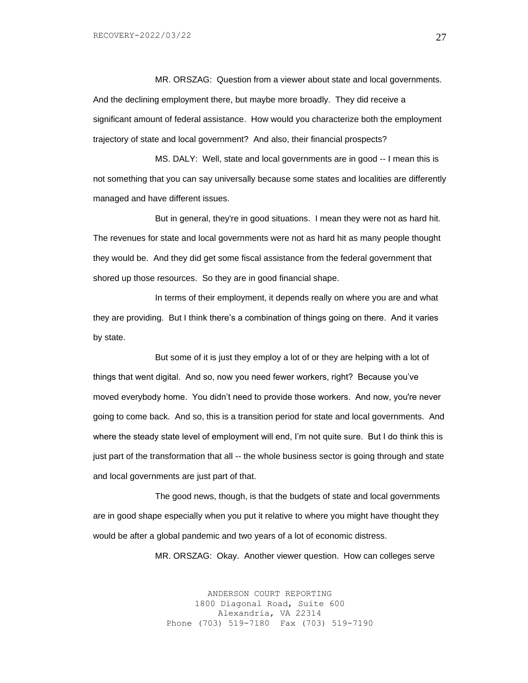MR. ORSZAG: Question from a viewer about state and local governments. And the declining employment there, but maybe more broadly. They did receive a significant amount of federal assistance. How would you characterize both the employment trajectory of state and local government? And also, their financial prospects?

MS. DALY: Well, state and local governments are in good -- I mean this is not something that you can say universally because some states and localities are differently managed and have different issues.

But in general, they're in good situations. I mean they were not as hard hit. The revenues for state and local governments were not as hard hit as many people thought they would be. And they did get some fiscal assistance from the federal government that shored up those resources. So they are in good financial shape.

In terms of their employment, it depends really on where you are and what they are providing. But I think there's a combination of things going on there. And it varies by state.

But some of it is just they employ a lot of or they are helping with a lot of things that went digital. And so, now you need fewer workers, right? Because you've moved everybody home. You didn't need to provide those workers. And now, you're never going to come back. And so, this is a transition period for state and local governments. And where the steady state level of employment will end, I'm not quite sure. But I do think this is just part of the transformation that all -- the whole business sector is going through and state and local governments are just part of that.

The good news, though, is that the budgets of state and local governments are in good shape especially when you put it relative to where you might have thought they would be after a global pandemic and two years of a lot of economic distress.

MR. ORSZAG: Okay. Another viewer question. How can colleges serve

ANDERSON COURT REPORTING 1800 Diagonal Road, Suite 600 Alexandria, VA 22314 Phone (703) 519-7180 Fax (703) 519-7190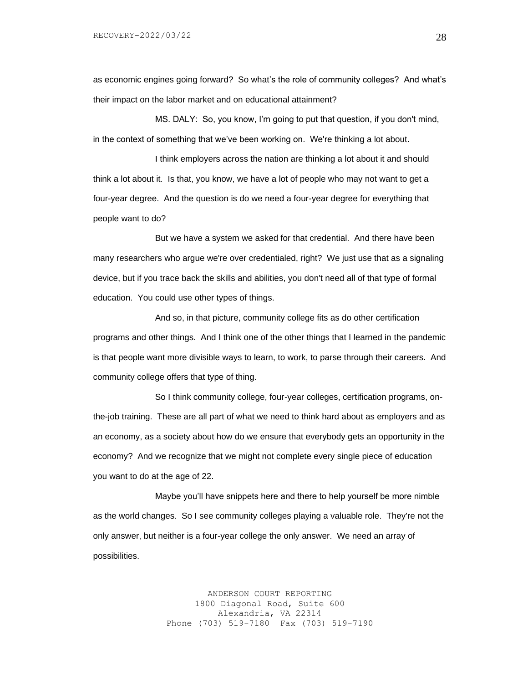as economic engines going forward? So what's the role of community colleges? And what's their impact on the labor market and on educational attainment?

MS. DALY: So, you know, I'm going to put that question, if you don't mind, in the context of something that we've been working on. We're thinking a lot about.

I think employers across the nation are thinking a lot about it and should think a lot about it. Is that, you know, we have a lot of people who may not want to get a four-year degree. And the question is do we need a four-year degree for everything that people want to do?

But we have a system we asked for that credential. And there have been many researchers who argue we're over credentialed, right? We just use that as a signaling device, but if you trace back the skills and abilities, you don't need all of that type of formal education. You could use other types of things.

And so, in that picture, community college fits as do other certification programs and other things. And I think one of the other things that I learned in the pandemic is that people want more divisible ways to learn, to work, to parse through their careers. And community college offers that type of thing.

So I think community college, four-year colleges, certification programs, onthe-job training. These are all part of what we need to think hard about as employers and as an economy, as a society about how do we ensure that everybody gets an opportunity in the economy? And we recognize that we might not complete every single piece of education you want to do at the age of 22.

Maybe you'll have snippets here and there to help yourself be more nimble as the world changes. So I see community colleges playing a valuable role. They're not the only answer, but neither is a four-year college the only answer. We need an array of possibilities.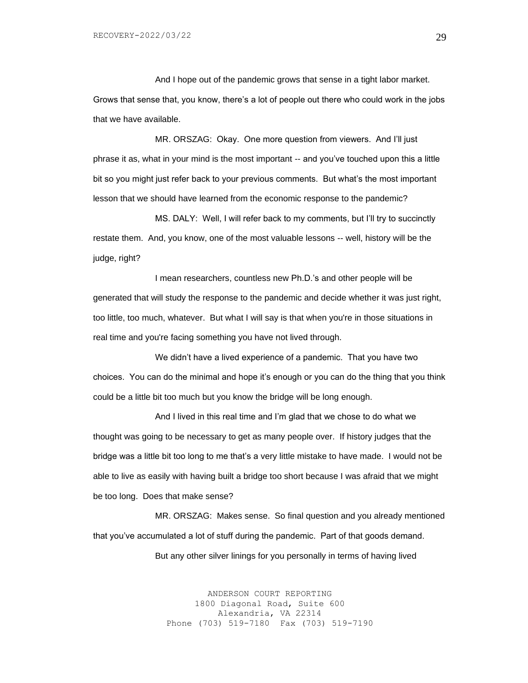And I hope out of the pandemic grows that sense in a tight labor market. Grows that sense that, you know, there's a lot of people out there who could work in the jobs that we have available.

MR. ORSZAG: Okay. One more question from viewers. And I'll just phrase it as, what in your mind is the most important -- and you've touched upon this a little bit so you might just refer back to your previous comments. But what's the most important lesson that we should have learned from the economic response to the pandemic?

MS. DALY: Well, I will refer back to my comments, but I'll try to succinctly restate them. And, you know, one of the most valuable lessons -- well, history will be the judge, right?

I mean researchers, countless new Ph.D.'s and other people will be generated that will study the response to the pandemic and decide whether it was just right, too little, too much, whatever. But what I will say is that when you're in those situations in real time and you're facing something you have not lived through.

We didn't have a lived experience of a pandemic. That you have two choices. You can do the minimal and hope it's enough or you can do the thing that you think could be a little bit too much but you know the bridge will be long enough.

And I lived in this real time and I'm glad that we chose to do what we thought was going to be necessary to get as many people over. If history judges that the bridge was a little bit too long to me that's a very little mistake to have made. I would not be able to live as easily with having built a bridge too short because I was afraid that we might be too long. Does that make sense?

MR. ORSZAG: Makes sense. So final question and you already mentioned that you've accumulated a lot of stuff during the pandemic. Part of that goods demand. But any other silver linings for you personally in terms of having lived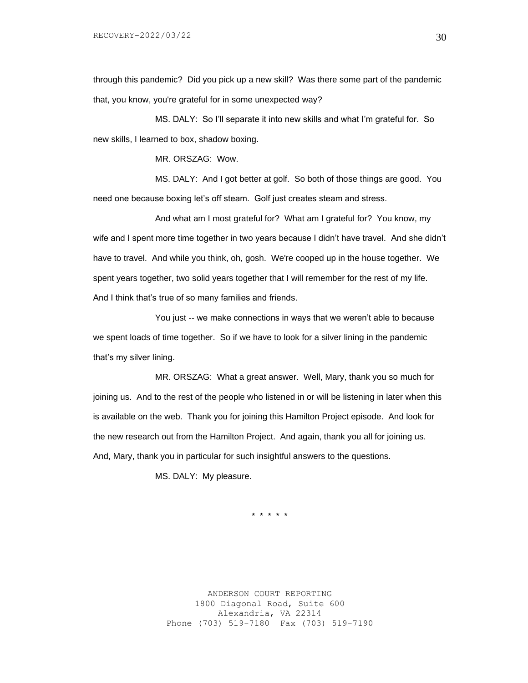through this pandemic? Did you pick up a new skill? Was there some part of the pandemic that, you know, you're grateful for in some unexpected way?

MS. DALY: So I'll separate it into new skills and what I'm grateful for. So new skills, I learned to box, shadow boxing.

MR. ORSZAG: Wow.

MS. DALY: And I got better at golf. So both of those things are good. You need one because boxing let's off steam. Golf just creates steam and stress.

And what am I most grateful for? What am I grateful for? You know, my wife and I spent more time together in two years because I didn't have travel. And she didn't have to travel. And while you think, oh, gosh. We're cooped up in the house together. We spent years together, two solid years together that I will remember for the rest of my life. And I think that's true of so many families and friends.

You just -- we make connections in ways that we weren't able to because we spent loads of time together. So if we have to look for a silver lining in the pandemic that's my silver lining.

MR. ORSZAG: What a great answer. Well, Mary, thank you so much for joining us. And to the rest of the people who listened in or will be listening in later when this is available on the web. Thank you for joining this Hamilton Project episode. And look for the new research out from the Hamilton Project. And again, thank you all for joining us. And, Mary, thank you in particular for such insightful answers to the questions.

MS. DALY: My pleasure.

\* \* \* \* \*